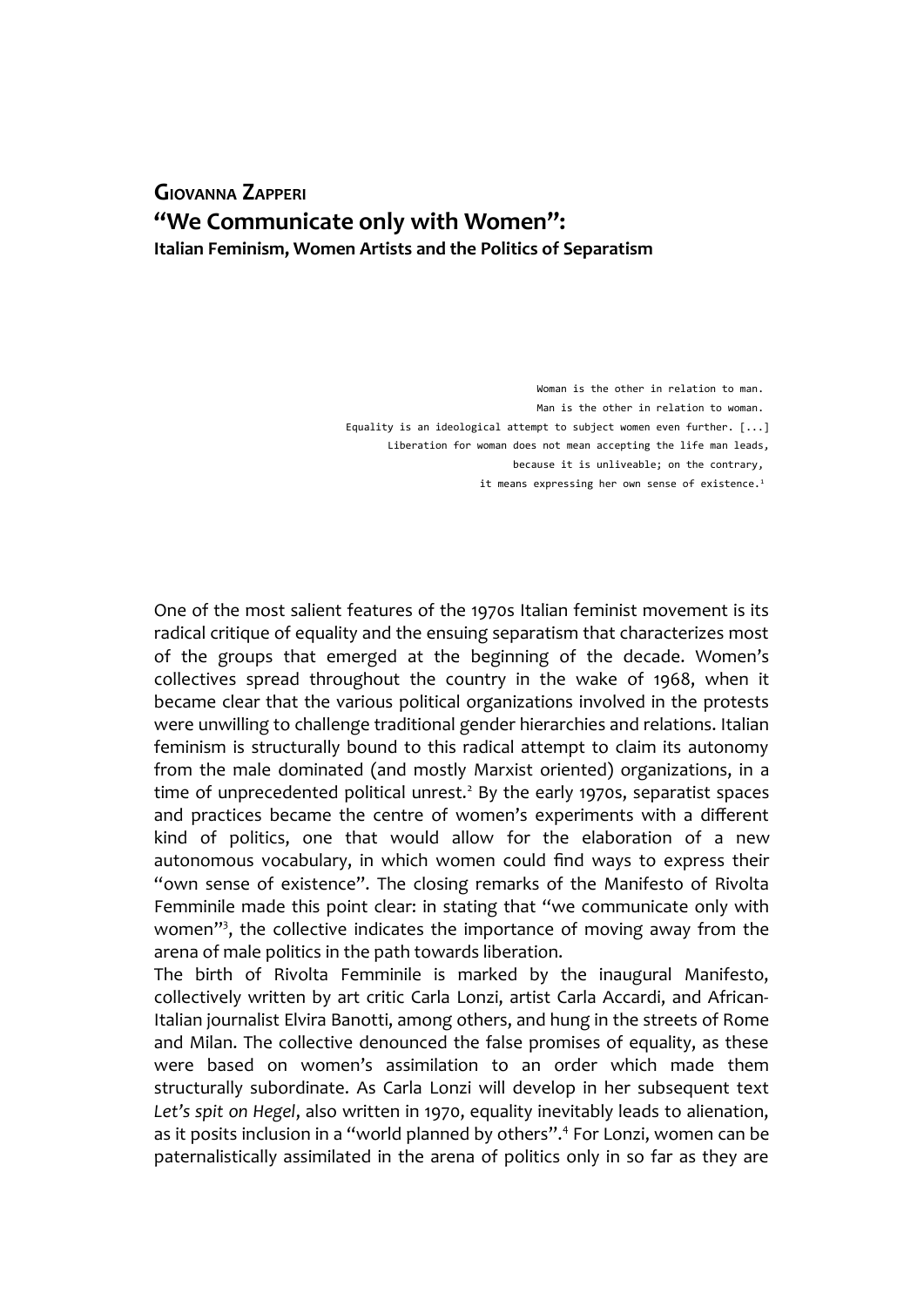## **GIOVANNA ZAPPERI "We Communicate only with Women": Italian Feminism, Women Artists and the Politics of Separatism**

Woman is the other in relation to man. Man is the other in relation to woman Equality is an ideological attempt to subject women even further. [...] Liberation for woman does not mean accepting the life man leads, because it is unliveable; on the contrary, it means expressing her own sense of existence.<sup>1</sup>

One of the most salient features of the 1970s Italian feminist movement is its radical critique of equality and the ensuing separatism that characterizes most of the groups that emerged at the beginning of the decade. Women's collectives spread throughout the country in the wake of 1968, when it became clear that the various political organizations involved in the protests were unwilling to challenge traditional gender hierarchies and relations. Italian feminism is structurally bound to this radical attempt to claim its autonomy from the male dominated (and mostly Marxist oriented) organizations, in a time of unprecedented political unrest.<sup>2</sup> By the early 1970s, separatist spaces and practices became the centre of women's experiments with a different kind of politics, one that would allow for the elaboration of a new autonomous vocabulary, in which women could find ways to express their "own sense of existence". The closing remarks of the Manifesto of Rivolta Femminile made this point clear: in stating that "we communicate only with women"<sup>3</sup>, the collective indicates the importance of moving away from the arena of male politics in the path towards liberation.

The birth of Rivolta Femminile is marked by the inaugural Manifesto, collectively written by art critic Carla Lonzi, artist Carla Accardi, and African-Italian journalist Elvira Banotti, among others, and hung in the streets of Rome and Milan. The collective denounced the false promises of equality, as these were based on women's assimilation to an order which made them structurally subordinate. As Carla Lonzi will develop in her subsequent text *Let's spit on Hegel*, also written in 1970, equality inevitably leads to alienation, as it posits inclusion in a "world planned by others".<sup>4</sup> For Lonzi, women can be paternalistically assimilated in the arena of politics only in so far as they are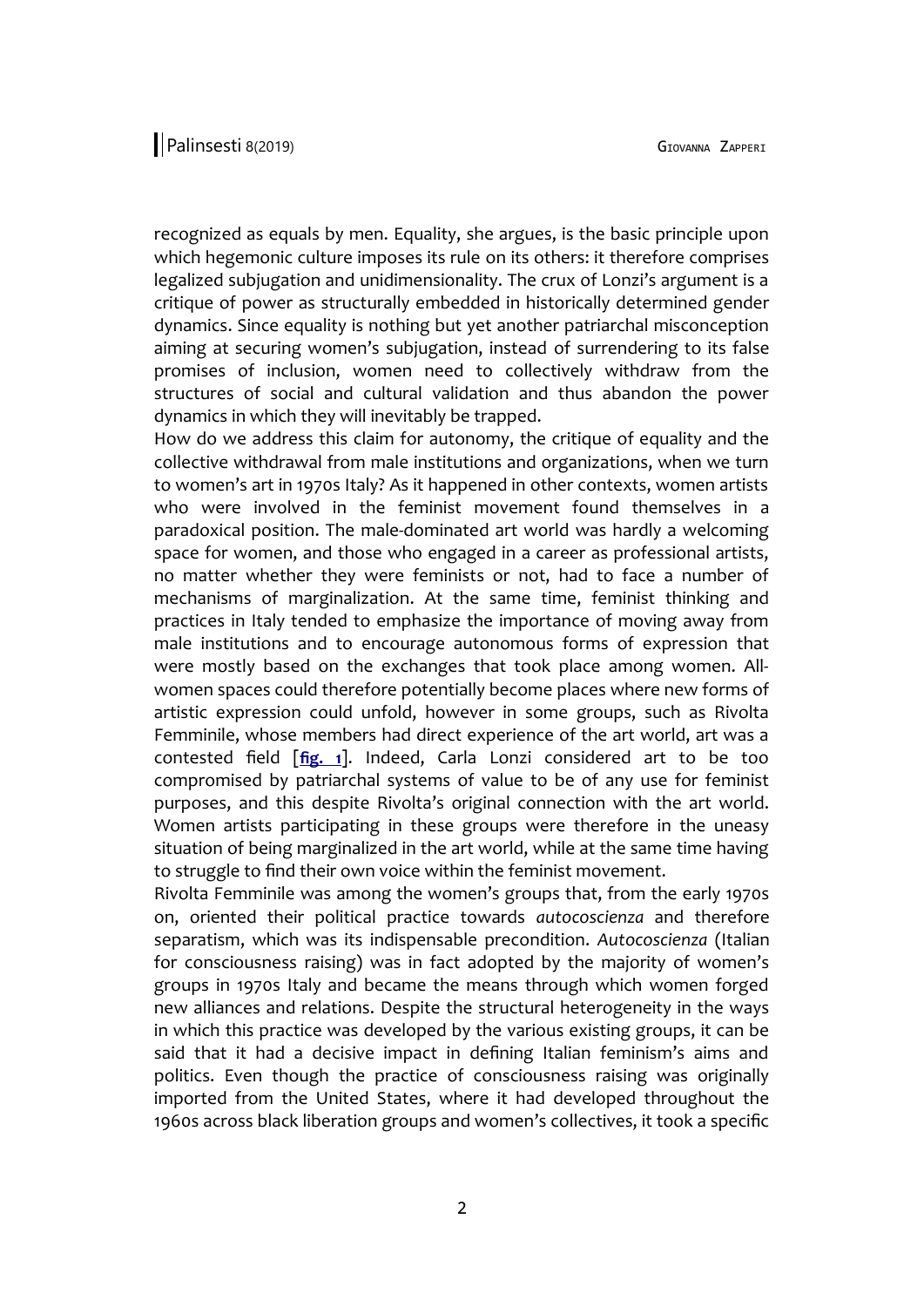recognized as equals by men. Equality, she argues, is the basic principle upon which hegemonic culture imposes its rule on its others: it therefore comprises legalized subjugation and unidimensionality. The crux of Lonzi's argument is a critique of power as structurally embedded in historically determined gender dynamics. Since equality is nothing but yet another patriarchal misconception aiming at securing women's subjugation, instead of surrendering to its false promises of inclusion, women need to collectively withdraw from the structures of social and cultural validation and thus abandon the power dynamics in which they will inevitably be trapped.

How do we address this claim for autonomy, the critique of equality and the collective withdrawal from male institutions and organizations, when we turn to women's art in 1970s Italy? As it happened in other contexts, women artists who were involved in the feminist movement found themselves in a paradoxical position. The male-dominated art world was hardly a welcoming space for women, and those who engaged in a career as professional artists, no matter whether they were feminists or not, had to face a number of mechanisms of marginalization. At the same time, feminist thinking and practices in Italy tended to emphasize the importance of moving away from male institutions and to encourage autonomous forms of expression that were mostly based on the exchanges that took place among women. Allwomen spaces could therefore potentially become places where new forms of artistic expression could unfold, however in some groups, such as Rivolta Femminile, whose members had direct experience of the art world, art was a contested field [**[fig. 1](http://www.palinsesti.net/index.php/Palinsesti/article/downloadSuppFile/139/452)**]. Indeed, Carla Lonzi considered art to be too compromised by patriarchal systems of value to be of any use for feminist purposes, and this despite Rivolta's original connection with the art world. Women artists participating in these groups were therefore in the uneasy situation of being marginalized in the art world, while at the same time having to struggle to find their own voice within the feminist movement.

Rivolta Femminile was among the women's groups that, from the early 1970s on, oriented their political practice towards *autocoscienza* and therefore separatism, which was its indispensable precondition. *Autocoscienza* (Italian for consciousness raising) was in fact adopted by the majority of women's groups in 1970s Italy and became the means through which women forged new alliances and relations. Despite the structural heterogeneity in the ways in which this practice was developed by the various existing groups, it can be said that it had a decisive impact in defining Italian feminism's aims and politics. Even though the practice of consciousness raising was originally imported from the United States, where it had developed throughout the 1960s across black liberation groups and women's collectives, it took a specific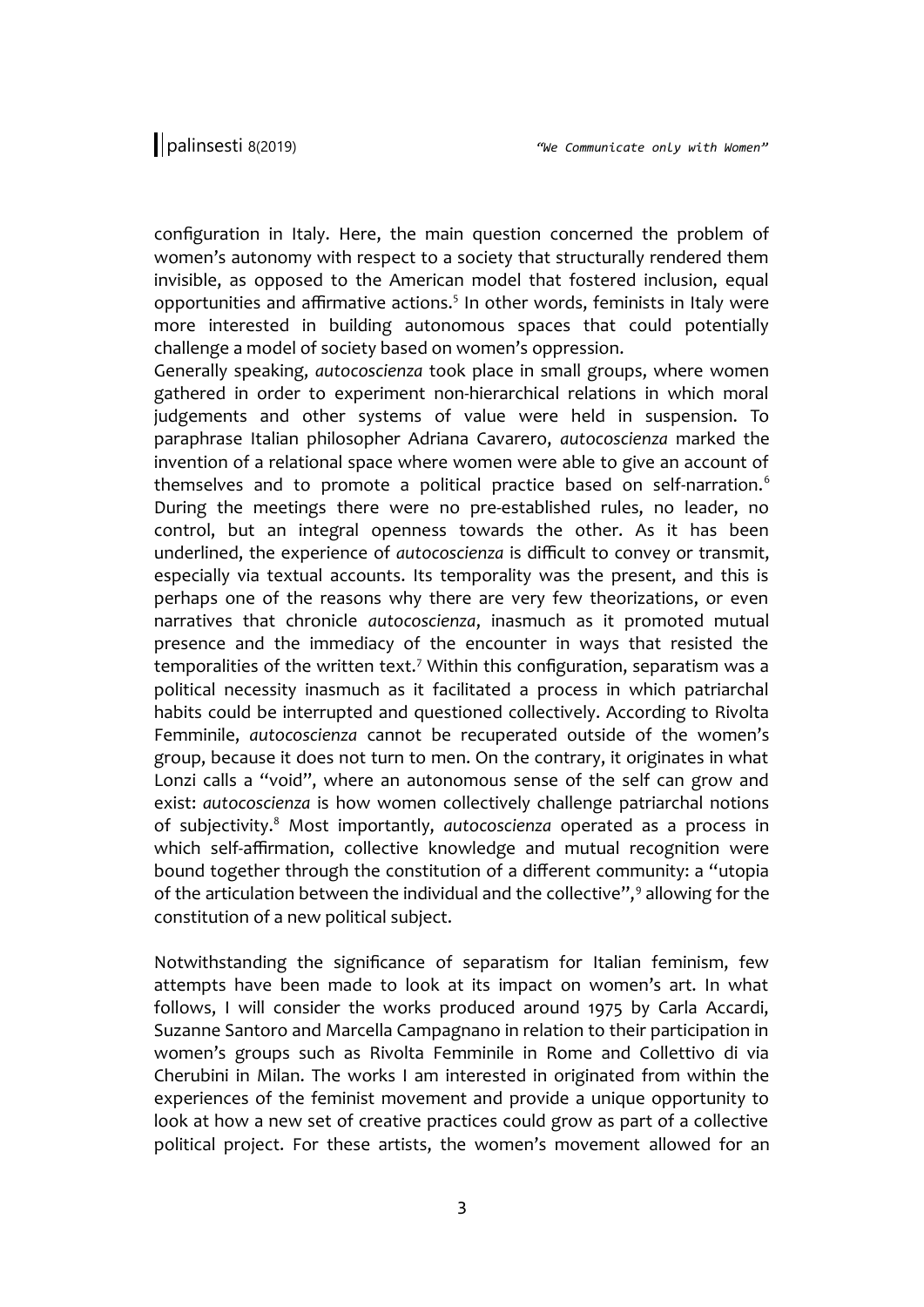configuration in Italy. Here, the main question concerned the problem of women's autonomy with respect to a society that structurally rendered them invisible, as opposed to the American model that fostered inclusion, equal opportunities and affirmative actions.<sup>5</sup> In other words, feminists in Italy were more interested in building autonomous spaces that could potentially challenge a model of society based on women's oppression.

Generally speaking, *autocoscienza* took place in small groups, where women gathered in order to experiment non-hierarchical relations in which moral judgements and other systems of value were held in suspension. To paraphrase Italian philosopher Adriana Cavarero, *autocoscienza* marked the invention of a relational space where women were able to give an account of themselves and to promote a political practice based on self-narration.<sup>6</sup> During the meetings there were no pre-established rules, no leader, no control, but an integral openness towards the other. As it has been underlined, the experience of *autocoscienza* is difficult to convey or transmit, especially via textual accounts. Its temporality was the present, and this is perhaps one of the reasons why there are very few theorizations, or even narratives that chronicle *autocoscienza*, inasmuch as it promoted mutual presence and the immediacy of the encounter in ways that resisted the temporalities of the written text.<sup>7</sup> Within this configuration, separatism was a political necessity inasmuch as it facilitated a process in which patriarchal habits could be interrupted and questioned collectively. According to Rivolta Femminile, *autocoscienza* cannot be recuperated outside of the women's group, because it does not turn to men. On the contrary, it originates in what Lonzi calls a "void", where an autonomous sense of the self can grow and exist: *autocoscienza* is how women collectively challenge patriarchal notions of subjectivity.<sup>8</sup> Most importantly, *autocoscienza* operated as a process in which self-affirmation, collective knowledge and mutual recognition were bound together through the constitution of a different community: a "utopia of the articulation between the individual and the collective",<sup>9</sup> allowing for the constitution of a new political subject.

Notwithstanding the significance of separatism for Italian feminism, few attempts have been made to look at its impact on women's art. In what follows, I will consider the works produced around 1975 by Carla Accardi, Suzanne Santoro and Marcella Campagnano in relation to their participation in women's groups such as Rivolta Femminile in Rome and Collettivo di via Cherubini in Milan. The works I am interested in originated from within the experiences of the feminist movement and provide a unique opportunity to look at how a new set of creative practices could grow as part of a collective political project. For these artists, the women's movement allowed for an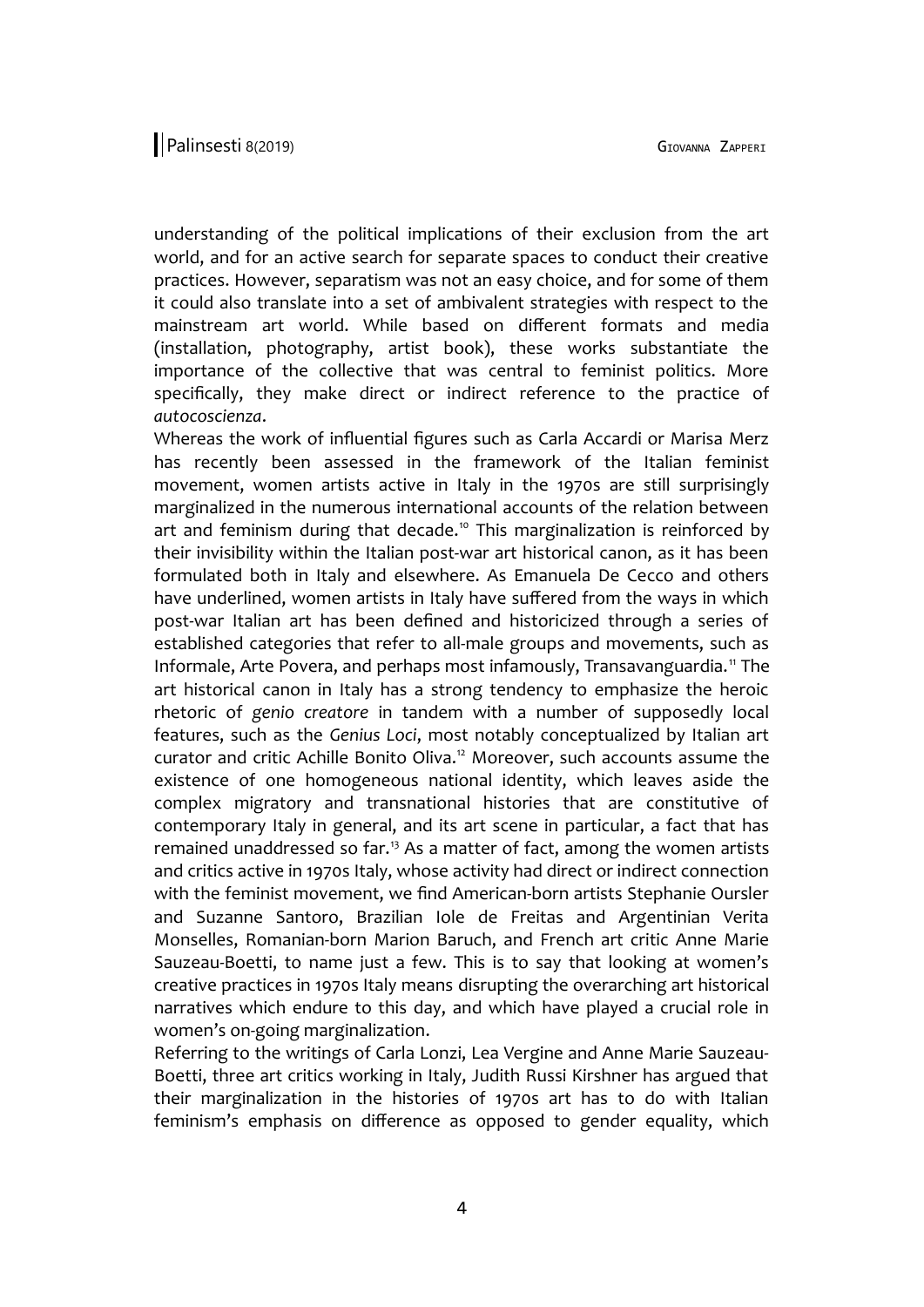understanding of the political implications of their exclusion from the art world, and for an active search for separate spaces to conduct their creative practices. However, separatism was not an easy choice, and for some of them it could also translate into a set of ambivalent strategies with respect to the mainstream art world. While based on different formats and media (installation, photography, artist book), these works substantiate the importance of the collective that was central to feminist politics. More specifically, they make direct or indirect reference to the practice of *autocoscienza*.

Whereas the work of influential figures such as Carla Accardi or Marisa Merz has recently been assessed in the framework of the Italian feminist movement, women artists active in Italy in the 1970s are still surprisingly marginalized in the numerous international accounts of the relation between art and feminism during that decade.<sup>10</sup> This marginalization is reinforced by their invisibility within the Italian post-war art historical canon, as it has been formulated both in Italy and elsewhere. As Emanuela De Cecco and others have underlined, women artists in Italy have suffered from the ways in which post-war Italian art has been defined and historicized through a series of established categories that refer to all-male groups and movements, such as Informale, Arte Povera, and perhaps most infamously, Transavanguardia.<sup>11</sup> The art historical canon in Italy has a strong tendency to emphasize the heroic rhetoric of *genio creatore* in tandem with a number of supposedly local features, such as the *Genius Loci*, most notably conceptualized by Italian art curator and critic Achille Bonito Oliva.<sup>12</sup> Moreover, such accounts assume the existence of one homogeneous national identity, which leaves aside the complex migratory and transnational histories that are constitutive of contemporary Italy in general, and its art scene in particular, a fact that has remained unaddressed so far.<sup>13</sup> As a matter of fact, among the women artists and critics active in 1970s Italy, whose activity had direct or indirect connection with the feminist movement, we find American-born artists Stephanie Oursler and Suzanne Santoro, Brazilian Iole de Freitas and Argentinian Verita Monselles, Romanian-born Marion Baruch, and French art critic Anne Marie Sauzeau-Boetti, to name just a few. This is to say that looking at women's creative practices in 1970s Italy means disrupting the overarching art historical narratives which endure to this day, and which have played a crucial role in women's on-going marginalization.

Referring to the writings of Carla Lonzi, Lea Vergine and Anne Marie Sauzeau-Boetti, three art critics working in Italy, Judith Russi Kirshner has argued that their marginalization in the histories of 1970s art has to do with Italian feminism's emphasis on difference as opposed to gender equality, which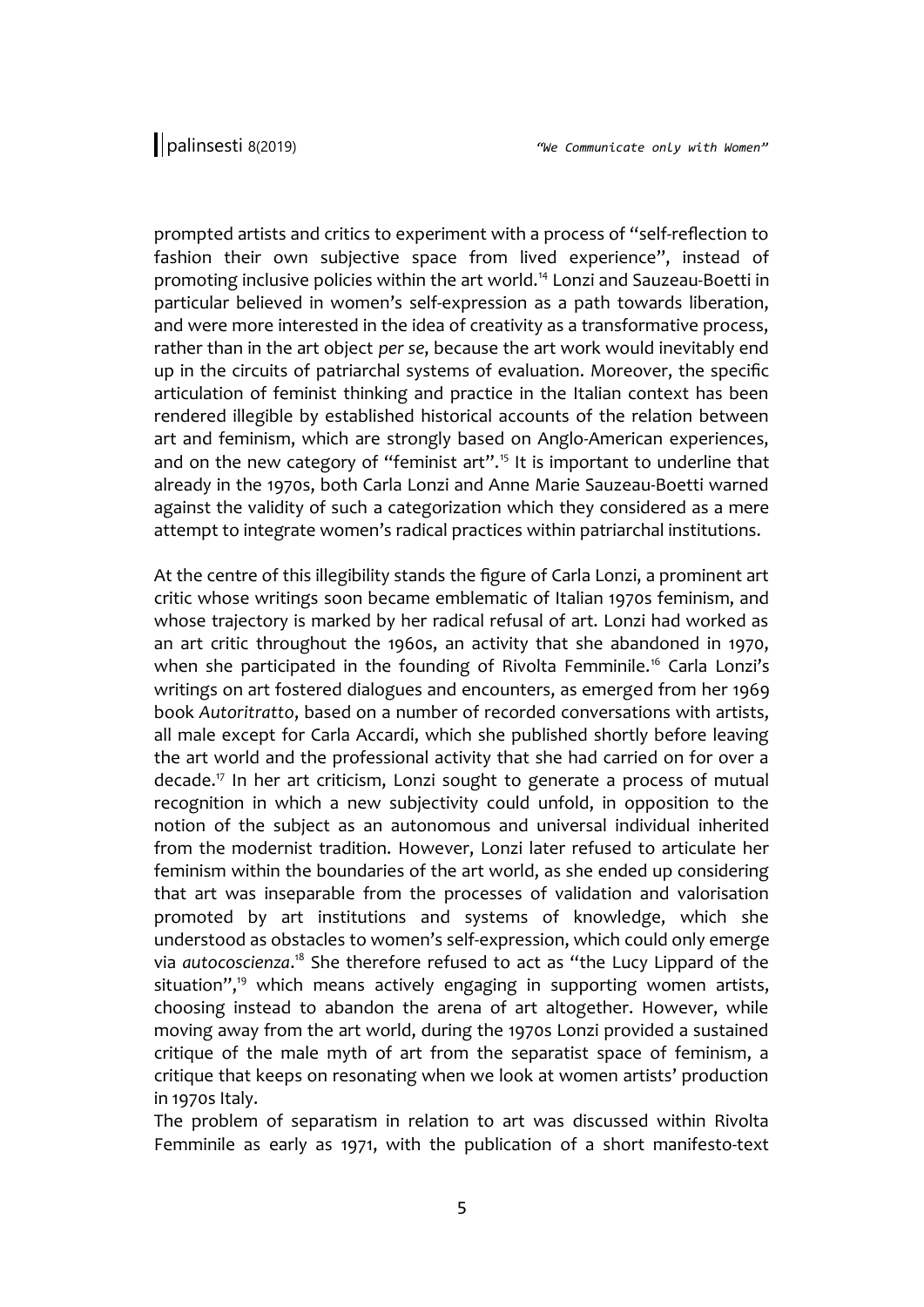prompted artists and critics to experiment with a process of "self-reflection to fashion their own subjective space from lived experience", instead of promoting inclusive policies within the art world.<sup>14</sup> Lonzi and Sauzeau-Boetti in particular believed in women's self-expression as a path towards liberation, and were more interested in the idea of creativity as a transformative process, rather than in the art object *per se*, because the art work would inevitably end up in the circuits of patriarchal systems of evaluation. Moreover, the specific articulation of feminist thinking and practice in the Italian context has been rendered illegible by established historical accounts of the relation between art and feminism, which are strongly based on Anglo-American experiences, and on the new category of "feminist art".<sup>15</sup> It is important to underline that already in the 1970s, both Carla Lonzi and Anne Marie Sauzeau-Boetti warned against the validity of such a categorization which they considered as a mere attempt to integrate women's radical practices within patriarchal institutions.

At the centre of this illegibility stands the figure of Carla Lonzi, a prominent art critic whose writings soon became emblematic of Italian 1970s feminism, and whose trajectory is marked by her radical refusal of art. Lonzi had worked as an art critic throughout the 1960s, an activity that she abandoned in 1970, when she participated in the founding of Rivolta Femminile.<sup>16</sup> Carla Lonzi's writings on art fostered dialogues and encounters, as emerged from her 1969 book *Autoritratto*, based on a number of recorded conversations with artists, all male except for Carla Accardi, which she published shortly before leaving the art world and the professional activity that she had carried on for over a decade.<sup>17</sup> In her art criticism, Lonzi sought to generate a process of mutual recognition in which a new subjectivity could unfold, in opposition to the notion of the subject as an autonomous and universal individual inherited from the modernist tradition. However, Lonzi later refused to articulate her feminism within the boundaries of the art world, as she ended up considering that art was inseparable from the processes of validation and valorisation promoted by art institutions and systems of knowledge, which she understood as obstacles to women's self-expression, which could only emerge via autocoscienza.<sup>18</sup> She therefore refused to act as "the Lucy Lippard of the situation", $19$  which means actively engaging in supporting women artists, choosing instead to abandon the arena of art altogether. However, while moving away from the art world, during the 1970s Lonzi provided a sustained critique of the male myth of art from the separatist space of feminism, a critique that keeps on resonating when we look at women artists' production in 1970s Italy.

The problem of separatism in relation to art was discussed within Rivolta Femminile as early as 1971, with the publication of a short manifesto-text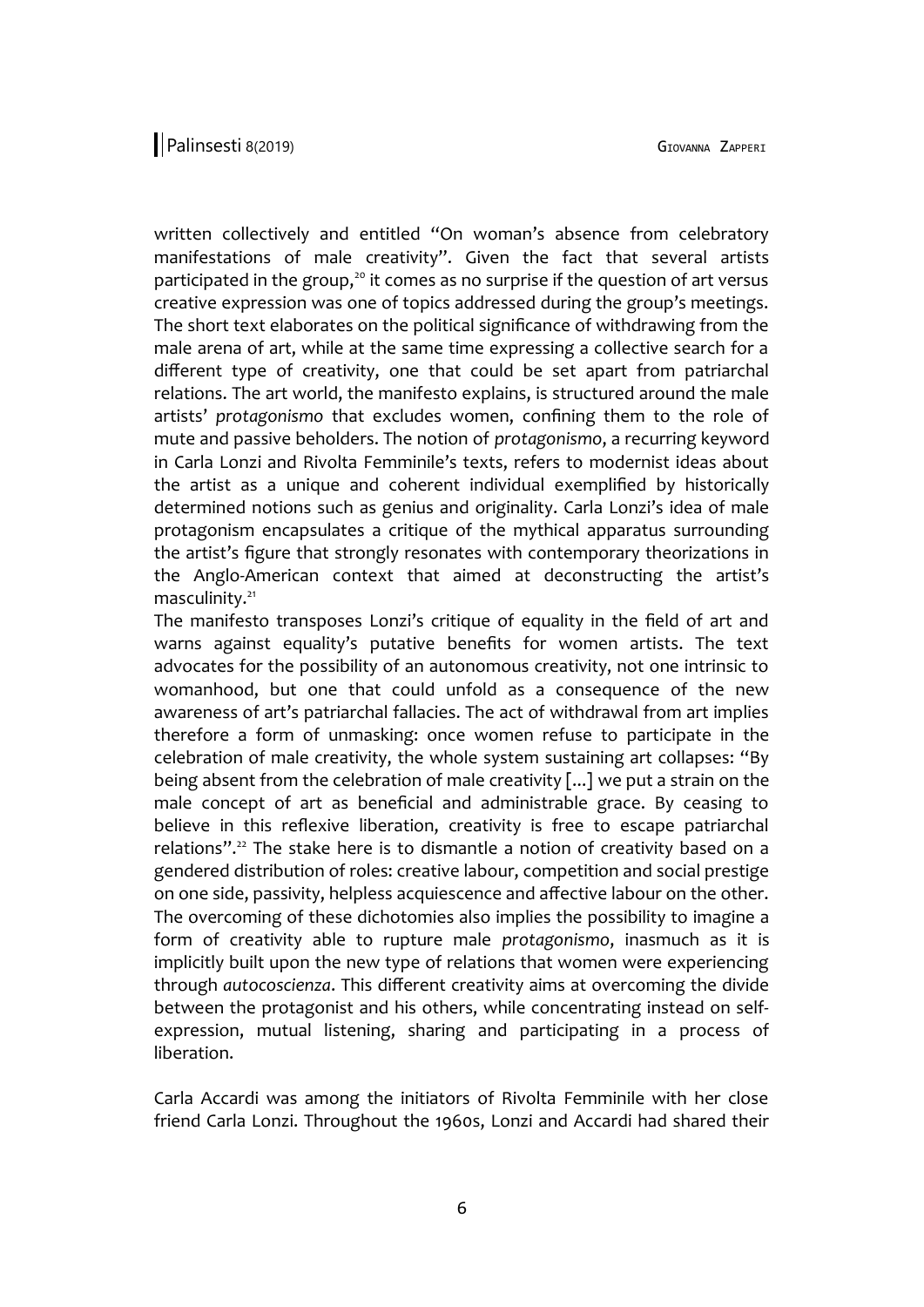written collectively and entitled "On woman's absence from celebratory manifestations of male creativity". Given the fact that several artists participated in the group, $20$  it comes as no surprise if the question of art versus creative expression was one of topics addressed during the group's meetings. The short text elaborates on the political significance of withdrawing from the male arena of art, while at the same time expressing a collective search for a different type of creativity, one that could be set apart from patriarchal relations. The art world, the manifesto explains, is structured around the male artists' *protagonismo* that excludes women, confining them to the role of mute and passive beholders. The notion of *protagonismo*, a recurring keyword in Carla Lonzi and Rivolta Femminile's texts, refers to modernist ideas about the artist as a unique and coherent individual exemplified by historically determined notions such as genius and originality. Carla Lonzi's idea of male protagonism encapsulates a critique of the mythical apparatus surrounding the artist's figure that strongly resonates with contemporary theorizations in the Anglo-American context that aimed at deconstructing the artist's masculinity.<sup>21</sup>

The manifesto transposes Lonzi's critique of equality in the field of art and warns against equality's putative benefits for women artists. The text advocates for the possibility of an autonomous creativity, not one intrinsic to womanhood, but one that could unfold as a consequence of the new awareness of art's patriarchal fallacies. The act of withdrawal from art implies therefore a form of unmasking: once women refuse to participate in the celebration of male creativity, the whole system sustaining art collapses: "By being absent from the celebration of male creativity [...] we put a strain on the male concept of art as beneficial and administrable grace. By ceasing to believe in this reflexive liberation, creativity is free to escape patriarchal relations".<sup>22</sup> The stake here is to dismantle a notion of creativity based on a gendered distribution of roles: creative labour, competition and social prestige on one side, passivity, helpless acquiescence and affective labour on the other. The overcoming of these dichotomies also implies the possibility to imagine a form of creativity able to rupture male *protagonismo*, inasmuch as it is implicitly built upon the new type of relations that women were experiencing through *autocoscienza*. This different creativity aims at overcoming the divide between the protagonist and his others, while concentrating instead on selfexpression, mutual listening, sharing and participating in a process of liberation.

Carla Accardi was among the initiators of Rivolta Femminile with her close friend Carla Lonzi. Throughout the 1960s, Lonzi and Accardi had shared their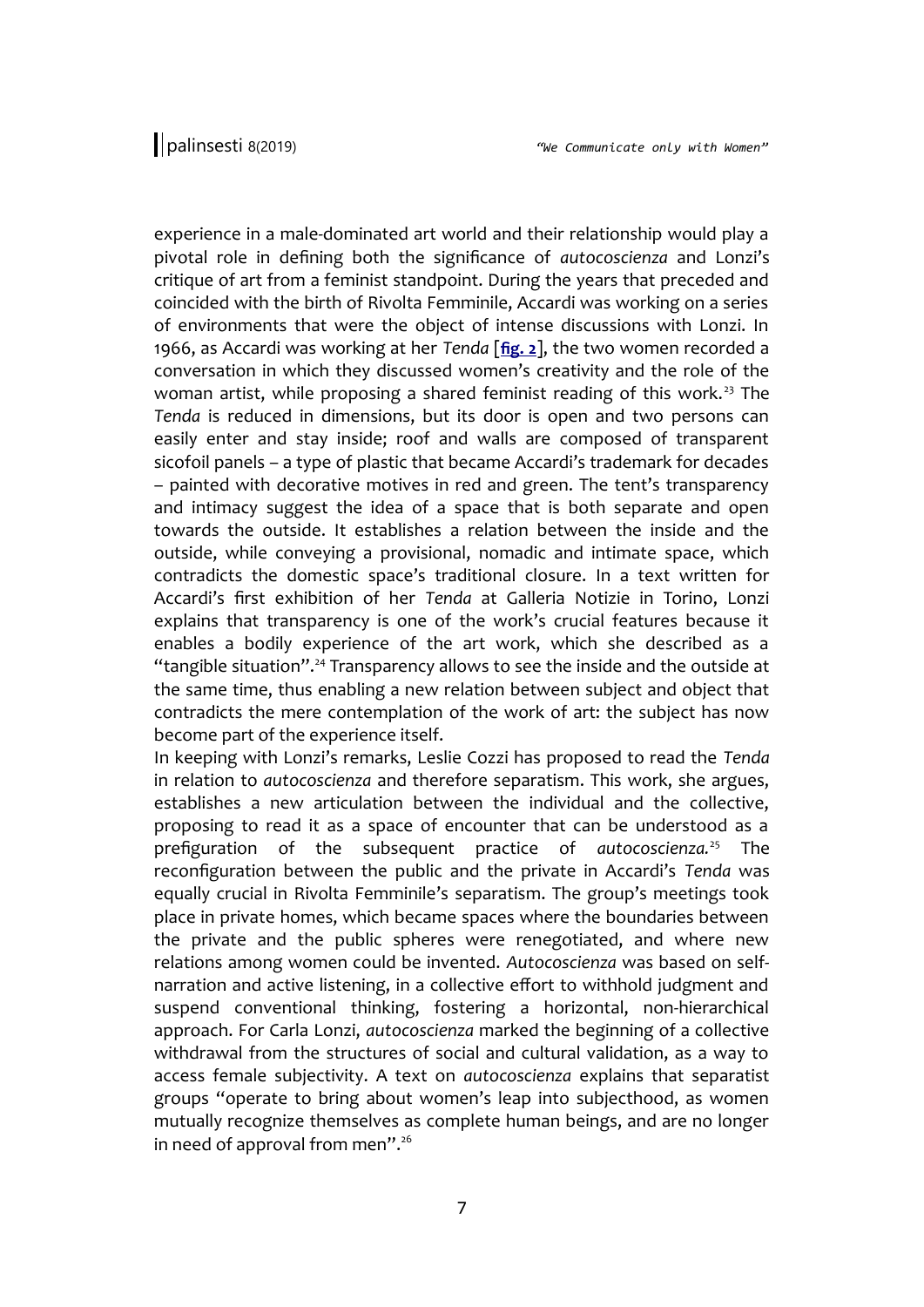experience in a male-dominated art world and their relationship would play a pivotal role in defining both the significance of *autocoscienza* and Lonzi's critique of art from a feminist standpoint. During the years that preceded and coincided with the birth of Rivolta Femminile, Accardi was working on a series of environments that were the object of intense discussions with Lonzi. In 1966, as Accardi was working at her *Tenda* [**[fig. 2](http://www.palinsesti.net/index.php/Palinsesti/article/downloadSuppFile/139/453)**], the two women recorded a conversation in which they discussed women's creativity and the role of the woman artist, while proposing a shared feminist reading of this work.<sup>23</sup> The *Tenda* is reduced in dimensions, but its door is open and two persons can easily enter and stay inside; roof and walls are composed of transparent sicofoil panels – a type of plastic that became Accardi's trademark for decades – painted with decorative motives in red and green. The tent's transparency and intimacy suggest the idea of a space that is both separate and open towards the outside. It establishes a relation between the inside and the outside, while conveying a provisional, nomadic and intimate space, which contradicts the domestic space's traditional closure. In a text written for Accardi's first exhibition of her *Tenda* at Galleria Notizie in Torino, Lonzi explains that transparency is one of the work's crucial features because it enables a bodily experience of the art work, which she described as a "tangible situation".<sup>24</sup> Transparency allows to see the inside and the outside at the same time, thus enabling a new relation between subject and object that contradicts the mere contemplation of the work of art: the subject has now become part of the experience itself.

In keeping with Lonzi's remarks, Leslie Cozzi has proposed to read the *Tenda* in relation to *autocoscienza* and therefore separatism. This work, she argues, establishes a new articulation between the individual and the collective, proposing to read it as a space of encounter that can be understood as a prefiguration of the subsequent practice of *autocoscienza.*<sup>25</sup> The reconfiguration between the public and the private in Accardi's *Tenda* was equally crucial in Rivolta Femminile's separatism. The group's meetings took place in private homes, which became spaces where the boundaries between the private and the public spheres were renegotiated, and where new relations among women could be invented. *Autocoscienza* was based on selfnarration and active listening, in a collective effort to withhold judgment and suspend conventional thinking, fostering a horizontal, non-hierarchical approach. For Carla Lonzi, *autocoscienza* marked the beginning of a collective withdrawal from the structures of social and cultural validation, as a way to access female subjectivity. A text on *autocoscienza* explains that separatist groups "operate to bring about women's leap into subjecthood, as women mutually recognize themselves as complete human beings, and are no longer in need of approval from men".<sup>26</sup>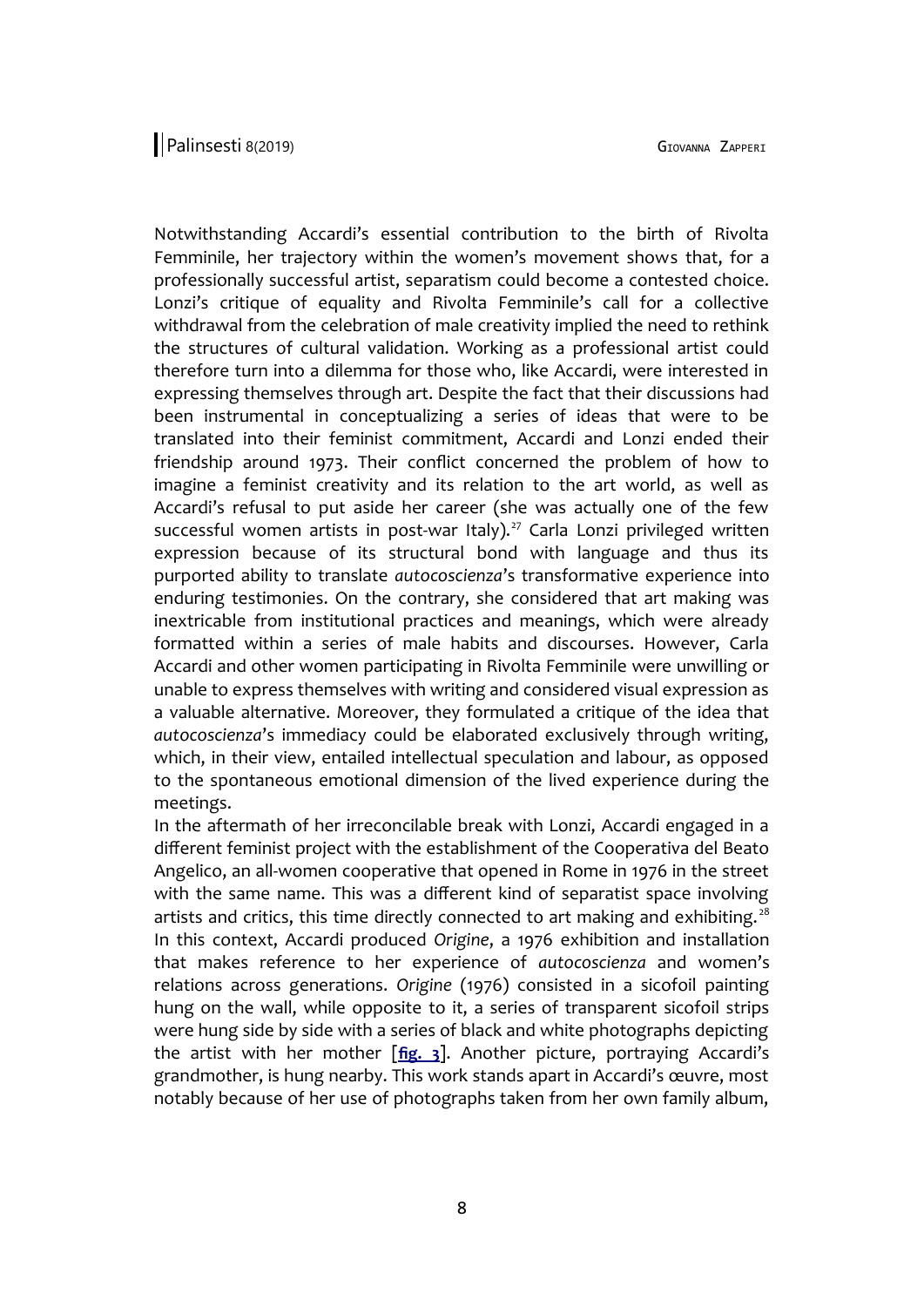Notwithstanding Accardi's essential contribution to the birth of Rivolta Femminile, her trajectory within the women's movement shows that, for a professionally successful artist, separatism could become a contested choice. Lonzi's critique of equality and Rivolta Femminile's call for a collective withdrawal from the celebration of male creativity implied the need to rethink the structures of cultural validation. Working as a professional artist could therefore turn into a dilemma for those who, like Accardi, were interested in expressing themselves through art. Despite the fact that their discussions had been instrumental in conceptualizing a series of ideas that were to be translated into their feminist commitment, Accardi and Lonzi ended their friendship around 1973. Their conflict concerned the problem of how to imagine a feminist creativity and its relation to the art world, as well as Accardi's refusal to put aside her career (she was actually one of the few successful women artists in post-war Italy).<sup>27</sup> Carla Lonzi privileged written expression because of its structural bond with language and thus its purported ability to translate *autocoscienza*'s transformative experience into enduring testimonies. On the contrary, she considered that art making was inextricable from institutional practices and meanings, which were already formatted within a series of male habits and discourses. However, Carla Accardi and other women participating in Rivolta Femminile were unwilling or unable to express themselves with writing and considered visual expression as a valuable alternative. Moreover, they formulated a critique of the idea that *autocoscienza*'s immediacy could be elaborated exclusively through writing, which, in their view, entailed intellectual speculation and labour, as opposed to the spontaneous emotional dimension of the lived experience during the meetings.

In the aftermath of her irreconcilable break with Lonzi, Accardi engaged in a different feminist project with the establishment of the Cooperativa del Beato Angelico, an all-women cooperative that opened in Rome in 1976 in the street with the same name. This was a different kind of separatist space involving artists and critics, this time directly connected to art making and exhibiting. $28$ In this context, Accardi produced *Origine*, a 1976 exhibition and installation that makes reference to her experience of *autocoscienza* and women's relations across generations. *Origine* (1976) consisted in a sicofoil painting hung on the wall, while opposite to it, a series of transparent sicofoil strips were hung side by side with a series of black and white photographs depicting the artist with her mother [**[fig. 3](http://www.palinsesti.net/index.php/Palinsesti/article/downloadSuppFile/139/454)**]. Another picture, portraying Accardi's grandmother, is hung nearby. This work stands apart in Accardi's œuvre, most notably because of her use of photographs taken from her own family album,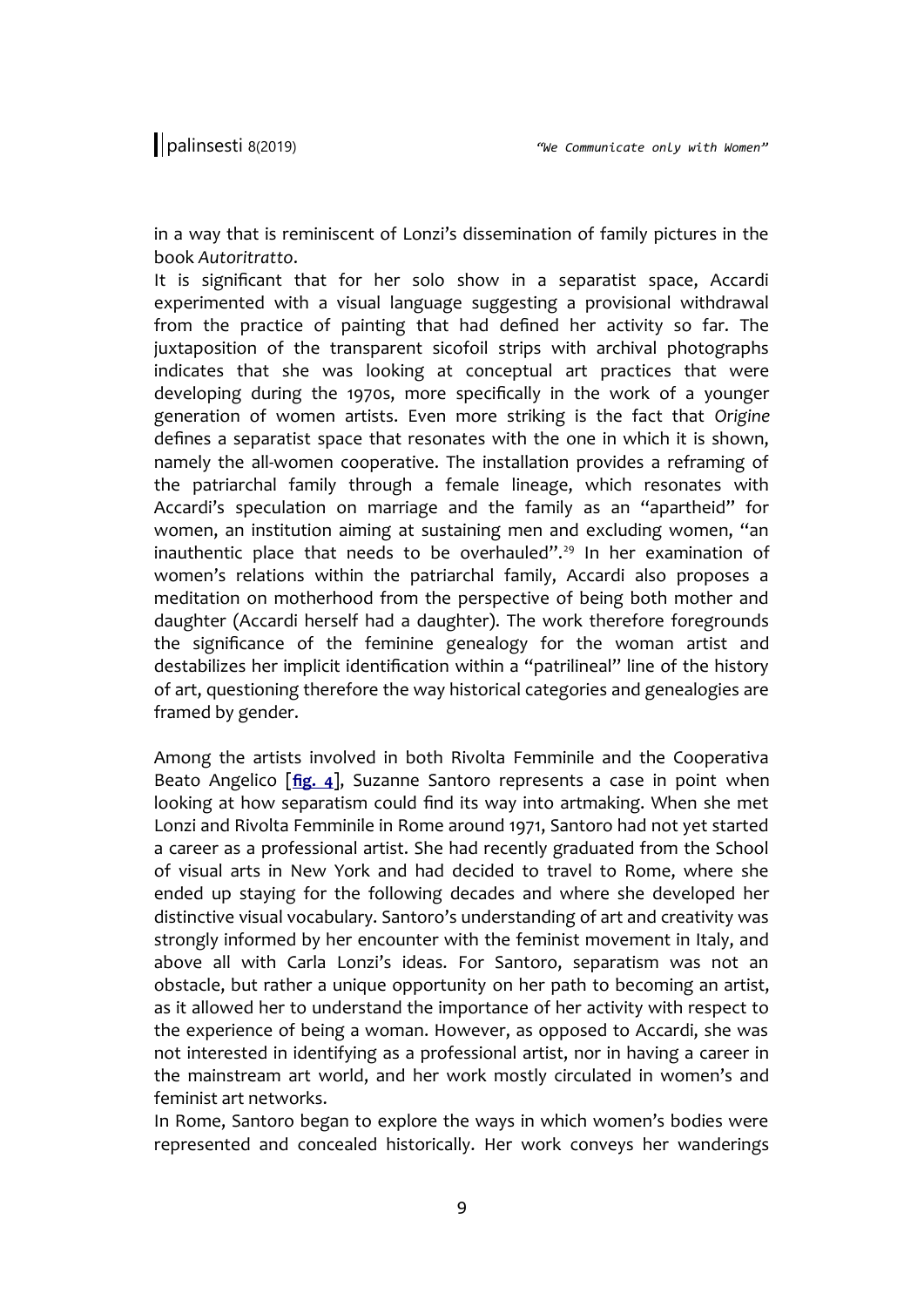in a way that is reminiscent of Lonzi's dissemination of family pictures in the book *Autoritratto*.

It is significant that for her solo show in a separatist space, Accardi experimented with a visual language suggesting a provisional withdrawal from the practice of painting that had defined her activity so far. The juxtaposition of the transparent sicofoil strips with archival photographs indicates that she was looking at conceptual art practices that were developing during the 1970s, more specifically in the work of a younger generation of women artists. Even more striking is the fact that *Origine* defines a separatist space that resonates with the one in which it is shown, namely the all-women cooperative. The installation provides a reframing of the patriarchal family through a female lineage, which resonates with Accardi's speculation on marriage and the family as an "apartheid" for women, an institution aiming at sustaining men and excluding women, "an inauthentic place that needs to be overhauled".<sup>29</sup> In her examination of women's relations within the patriarchal family, Accardi also proposes a meditation on motherhood from the perspective of being both mother and daughter (Accardi herself had a daughter). The work therefore foregrounds the significance of the feminine genealogy for the woman artist and destabilizes her implicit identification within a "patrilineal" line of the history of art, questioning therefore the way historical categories and genealogies are framed by gender.

Among the artists involved in both Rivolta Femminile and the Cooperativa Beato Angelico [**[fig. 4](http://www.palinsesti.net/index.php/Palinsesti/article/downloadSuppFile/139/455)**], Suzanne Santoro represents a case in point when looking at how separatism could find its way into artmaking. When she met Lonzi and Rivolta Femminile in Rome around 1971, Santoro had not yet started a career as a professional artist. She had recently graduated from the School of visual arts in New York and had decided to travel to Rome, where she ended up staying for the following decades and where she developed her distinctive visual vocabulary. Santoro's understanding of art and creativity was strongly informed by her encounter with the feminist movement in Italy, and above all with Carla Lonzi's ideas. For Santoro, separatism was not an obstacle, but rather a unique opportunity on her path to becoming an artist, as it allowed her to understand the importance of her activity with respect to the experience of being a woman. However, as opposed to Accardi, she was not interested in identifying as a professional artist, nor in having a career in the mainstream art world, and her work mostly circulated in women's and feminist art networks.

In Rome, Santoro began to explore the ways in which women's bodies were represented and concealed historically. Her work conveys her wanderings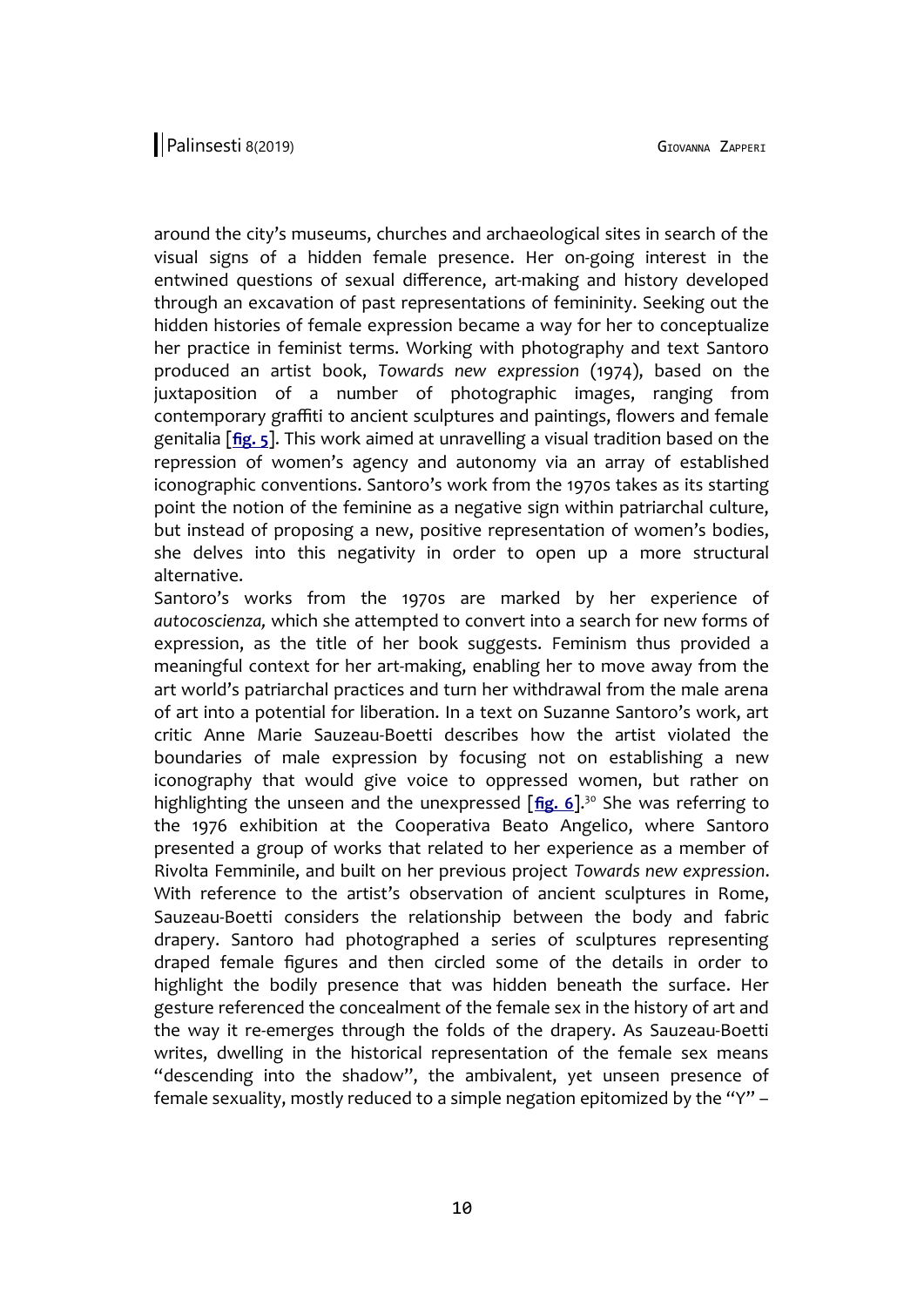around the city's museums, churches and archaeological sites in search of the visual signs of a hidden female presence. Her on-going interest in the entwined questions of sexual difference, art-making and history developed through an excavation of past representations of femininity. Seeking out the hidden histories of female expression became a way for her to conceptualize her practice in feminist terms. Working with photography and text Santoro produced an artist book, *Towards new expression* (1974), based on the juxtaposition of a number of photographic images, ranging from contemporary graffiti to ancient sculptures and paintings, flowers and female genitalia [**[fig. 5](http://www.palinsesti.net/index.php/Palinsesti/article/downloadSuppFile/139/456)**]. This work aimed at unravelling a visual tradition based on the repression of women's agency and autonomy via an array of established iconographic conventions. Santoro's work from the 1970s takes as its starting point the notion of the feminine as a negative sign within patriarchal culture, but instead of proposing a new, positive representation of women's bodies, she delves into this negativity in order to open up a more structural alternative.

Santoro's works from the 1970s are marked by her experience of *autocoscienza,* which she attempted to convert into a search for new forms of expression, as the title of her book suggests. Feminism thus provided a meaningful context for her art-making, enabling her to move away from the art world's patriarchal practices and turn her withdrawal from the male arena of art into a potential for liberation. In a text on Suzanne Santoro's work, art critic Anne Marie Sauzeau-Boetti describes how the artist violated the boundaries of male expression by focusing not on establishing a new iconography that would give voice to oppressed women, but rather on highlighting the unseen and the unexpressed [[fig. 6](http://www.palinsesti.net/index.php/Palinsesti/article/downloadSuppFile/139/457)].<sup>30</sup> She was referring to the 1976 exhibition at the Cooperativa Beato Angelico, where Santoro presented a group of works that related to her experience as a member of Rivolta Femminile, and built on her previous project *Towards new expression*. With reference to the artist's observation of ancient sculptures in Rome, Sauzeau-Boetti considers the relationship between the body and fabric drapery. Santoro had photographed a series of sculptures representing draped female figures and then circled some of the details in order to highlight the bodily presence that was hidden beneath the surface. Her gesture referenced the concealment of the female sex in the history of art and the way it re-emerges through the folds of the drapery. As Sauzeau-Boetti writes, dwelling in the historical representation of the female sex means "descending into the shadow", the ambivalent, yet unseen presence of female sexuality, mostly reduced to a simple negation epitomized by the "Y" –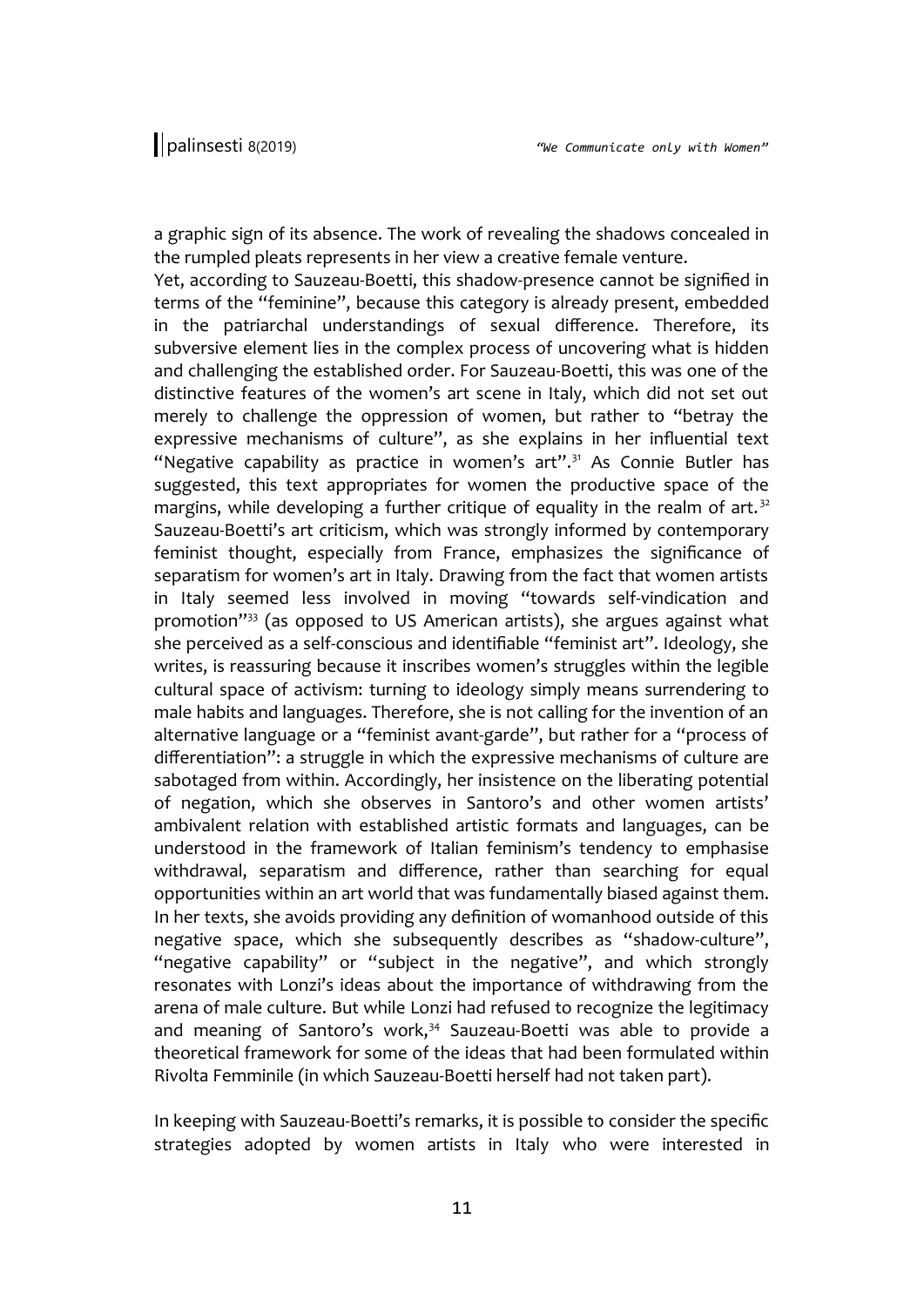a graphic sign of its absence. The work of revealing the shadows concealed in the rumpled pleats represents in her view a creative female venture.

Yet, according to Sauzeau-Boetti, this shadow-presence cannot be signified in terms of the "feminine", because this category is already present, embedded in the patriarchal understandings of sexual difference. Therefore, its subversive element lies in the complex process of uncovering what is hidden and challenging the established order. For Sauzeau-Boetti, this was one of the distinctive features of the women's art scene in Italy, which did not set out merely to challenge the oppression of women, but rather to "betray the expressive mechanisms of culture", as she explains in her influential text "Negative capability as practice in women's art".<sup>31</sup> As Connie Butler has suggested, this text appropriates for women the productive space of the margins, while developing a further critique of equality in the realm of art.<sup>32</sup> Sauzeau-Boetti's art criticism, which was strongly informed by contemporary feminist thought, especially from France, emphasizes the significance of separatism for women's art in Italy. Drawing from the fact that women artists in Italy seemed less involved in moving "towards self-vindication and promotion"<sup>33</sup> (as opposed to US American artists), she argues against what she perceived as a self-conscious and identifiable "feminist art". Ideology, she writes, is reassuring because it inscribes women's struggles within the legible cultural space of activism: turning to ideology simply means surrendering to male habits and languages. Therefore, she is not calling for the invention of an alternative language or a "feminist avant-garde", but rather for a "process of differentiation": a struggle in which the expressive mechanisms of culture are sabotaged from within. Accordingly, her insistence on the liberating potential of negation, which she observes in Santoro's and other women artists' ambivalent relation with established artistic formats and languages, can be understood in the framework of Italian feminism's tendency to emphasise withdrawal, separatism and difference, rather than searching for equal opportunities within an art world that was fundamentally biased against them. In her texts, she avoids providing any definition of womanhood outside of this negative space, which she subsequently describes as "shadow-culture", "negative capability" or "subject in the negative", and which strongly resonates with Lonzi's ideas about the importance of withdrawing from the arena of male culture. But while Lonzi had refused to recognize the legitimacy and meaning of Santoro's work, $34$  Sauzeau-Boetti was able to provide a theoretical framework for some of the ideas that had been formulated within Rivolta Femminile (in which Sauzeau-Boetti herself had not taken part).

In keeping with Sauzeau-Boetti's remarks, it is possible to consider the specific strategies adopted by women artists in Italy who were interested in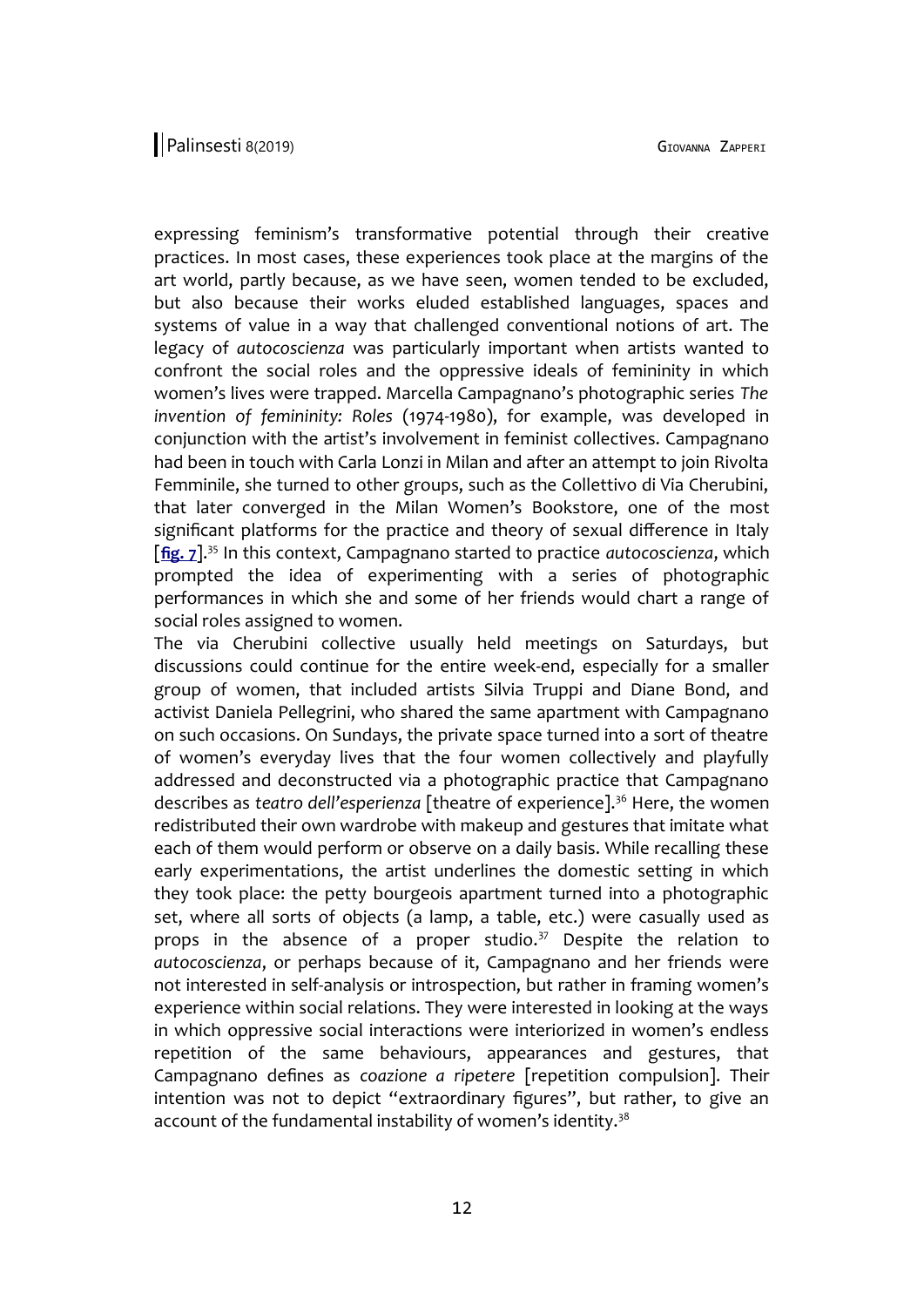expressing feminism's transformative potential through their creative practices. In most cases, these experiences took place at the margins of the art world, partly because, as we have seen, women tended to be excluded, but also because their works eluded established languages, spaces and systems of value in a way that challenged conventional notions of art. The legacy of *autocoscienza* was particularly important when artists wanted to confront the social roles and the oppressive ideals of femininity in which women's lives were trapped. Marcella Campagnano's photographic series *The invention of femininity: Roles* (1974-1980), for example, was developed in conjunction with the artist's involvement in feminist collectives. Campagnano had been in touch with Carla Lonzi in Milan and after an attempt to join Rivolta Femminile, she turned to other groups, such as the Collettivo di Via Cherubini, that later converged in the Milan Women's Bookstore, one of the most significant platforms for the practice and theory of sexual difference in Italy [**[fig. 7](http://www.palinsesti.net/index.php/Palinsesti/article/downloadSuppFile/139/458)**].<sup>35</sup> In this context, Campagnano started to practice *autocoscienza*, which prompted the idea of experimenting with a series of photographic performances in which she and some of her friends would chart a range of social roles assigned to women.

The via Cherubini collective usually held meetings on Saturdays, but discussions could continue for the entire week-end, especially for a smaller group of women, that included artists Silvia Truppi and Diane Bond, and activist Daniela Pellegrini, who shared the same apartment with Campagnano on such occasions. On Sundays, the private space turned into a sort of theatre of women's everyday lives that the four women collectively and playfully addressed and deconstructed via a photographic practice that Campagnano describes as *teatro dell'esperienza* [theatre of experience].<sup>36</sup> Here, the women redistributed their own wardrobe with makeup and gestures that imitate what each of them would perform or observe on a daily basis. While recalling these early experimentations, the artist underlines the domestic setting in which they took place: the petty bourgeois apartment turned into a photographic set, where all sorts of objects (a lamp, a table, etc.) were casually used as props in the absence of a proper studio. $37$  Despite the relation to *autocoscienza*, or perhaps because of it, Campagnano and her friends were not interested in self-analysis or introspection, but rather in framing women's experience within social relations. They were interested in looking at the ways in which oppressive social interactions were interiorized in women's endless repetition of the same behaviours, appearances and gestures, that Campagnano defines as *coazione a ripetere* [repetition compulsion]. Their intention was not to depict "extraordinary figures", but rather, to give an account of the fundamental instability of women's identity.<sup>38</sup>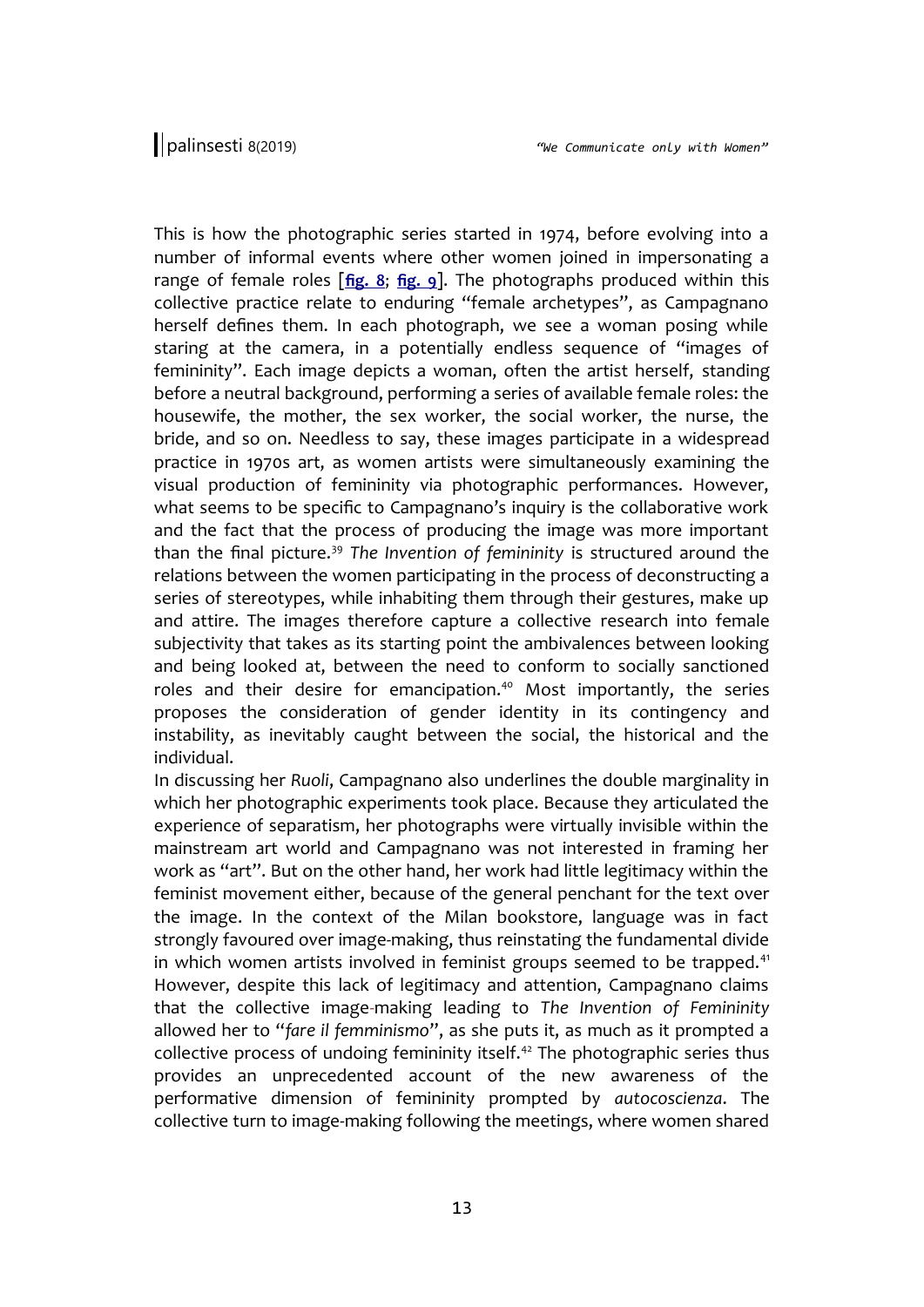This is how the photographic series started in 1974, before evolving into a number of informal events where other women joined in impersonating a range of female roles [**[fig. 8](http://www.palinsesti.net/index.php/Palinsesti/article/downloadSuppFile/139/459)**; **[fig. 9](http://www.palinsesti.net/index.php/Palinsesti/article/downloadSuppFile/139/460)**]. The photographs produced within this collective practice relate to enduring "female archetypes", as Campagnano herself defines them. In each photograph, we see a woman posing while staring at the camera, in a potentially endless sequence of "images of femininity". Each image depicts a woman, often the artist herself, standing before a neutral background, performing a series of available female roles: the housewife, the mother, the sex worker, the social worker, the nurse, the bride, and so on. Needless to say, these images participate in a widespread practice in 1970s art, as women artists were simultaneously examining the visual production of femininity via photographic performances. However, what seems to be specific to Campagnano's inquiry is the collaborative work and the fact that the process of producing the image was more important than the final picture.<sup>39</sup> *The Invention of femininity* is structured around the relations between the women participating in the process of deconstructing a series of stereotypes, while inhabiting them through their gestures, make up and attire. The images therefore capture a collective research into female subjectivity that takes as its starting point the ambivalences between looking and being looked at, between the need to conform to socially sanctioned roles and their desire for emancipation.<sup>40</sup> Most importantly, the series proposes the consideration of gender identity in its contingency and instability, as inevitably caught between the social, the historical and the individual.

In discussing her *Ruoli*, Campagnano also underlines the double marginality in which her photographic experiments took place. Because they articulated the experience of separatism, her photographs were virtually invisible within the mainstream art world and Campagnano was not interested in framing her work as "art". But on the other hand, her work had little legitimacy within the feminist movement either, because of the general penchant for the text over the image. In the context of the Milan bookstore, language was in fact strongly favoured over image-making, thus reinstating the fundamental divide in which women artists involved in feminist groups seemed to be trapped.<sup>41</sup> However, despite this lack of legitimacy and attention, Campagnano claims that the collective image-making leading to *The Invention of Femininity* allowed her to "*fare il femminismo*", as she puts it, as much as it prompted a collective process of undoing femininity itself.<sup>42</sup> The photographic series thus provides an unprecedented account of the new awareness of the performative dimension of femininity prompted by *autocoscienza*. The collective turn to image-making following the meetings, where women shared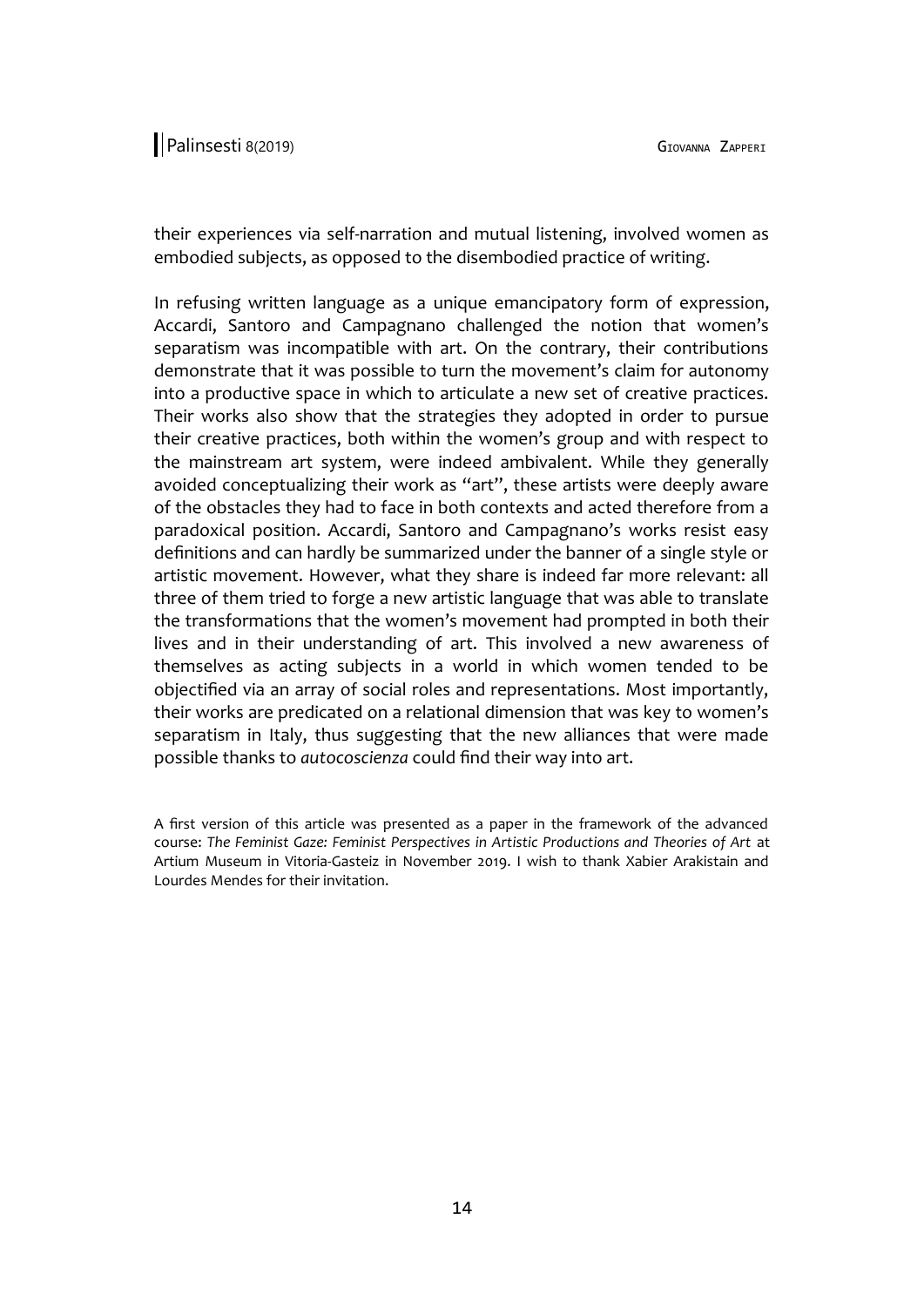their experiences via self-narration and mutual listening, involved women as embodied subjects, as opposed to the disembodied practice of writing.

In refusing written language as a unique emancipatory form of expression, Accardi, Santoro and Campagnano challenged the notion that women's separatism was incompatible with art. On the contrary, their contributions demonstrate that it was possible to turn the movement's claim for autonomy into a productive space in which to articulate a new set of creative practices. Their works also show that the strategies they adopted in order to pursue their creative practices, both within the women's group and with respect to the mainstream art system, were indeed ambivalent. While they generally avoided conceptualizing their work as "art", these artists were deeply aware of the obstacles they had to face in both contexts and acted therefore from a paradoxical position. Accardi, Santoro and Campagnano's works resist easy definitions and can hardly be summarized under the banner of a single style or artistic movement. However, what they share is indeed far more relevant: all three of them tried to forge a new artistic language that was able to translate the transformations that the women's movement had prompted in both their lives and in their understanding of art. This involved a new awareness of themselves as acting subjects in a world in which women tended to be objectified via an array of social roles and representations. Most importantly, their works are predicated on a relational dimension that was key to women's separatism in Italy, thus suggesting that the new alliances that were made possible thanks to *autocoscienza* could find their way into art.

A first version of this article was presented as a paper in the framework of the advanced course: *The Feminist Gaze: Feminist Perspectives in Artistic Productions and Theories of Art* at Artium Museum in Vitoria-Gasteiz in November 2019. I wish to thank Xabier Arakistain and Lourdes Mendes for their invitation.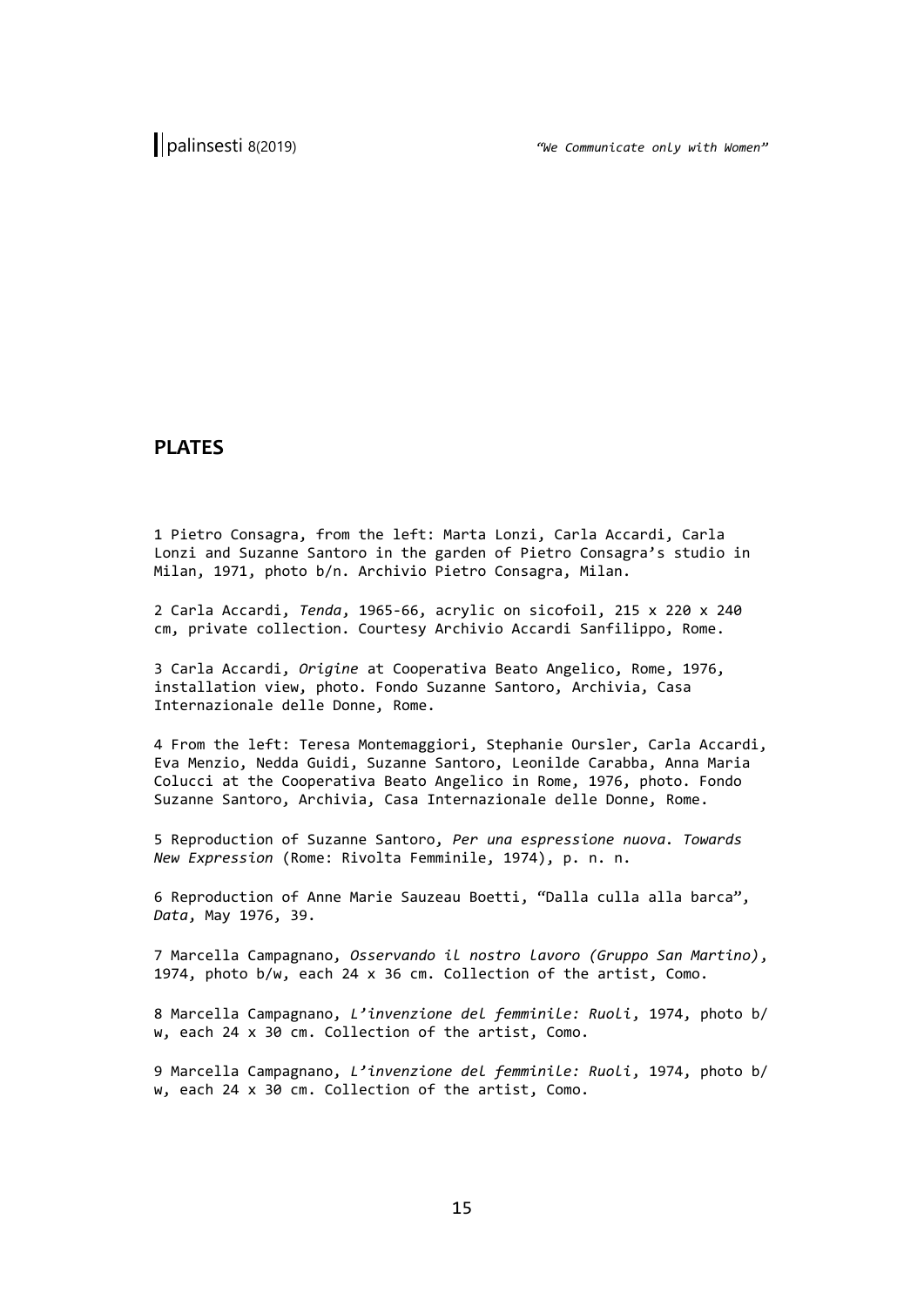## **PLATES**

1 Pietro Consagra, from the left: Marta Lonzi, Carla Accardi, Carla Lonzi and Suzanne Santoro in the garden of Pietro Consagra's studio in Milan, 1971, photo b/n. Archivio Pietro Consagra, Milan.

2 Carla Accardi, *Tenda*, 1965-66, acrylic on sicofoil, 215 x 220 x 240 cm, private collection. Courtesy Archivio Accardi Sanfilippo, Rome.

3 Carla Accardi, *Origine* at Cooperativa Beato Angelico, Rome, 1976, installation view, photo. Fondo Suzanne Santoro, Archivia, Casa Internazionale delle Donne, Rome.

4 From the left: Teresa Montemaggiori, Stephanie Oursler, Carla Accardi, Eva Menzio, Nedda Guidi, Suzanne Santoro, Leonilde Carabba, Anna Maria Colucci at the Cooperativa Beato Angelico in Rome, 1976, photo. Fondo Suzanne Santoro, Archivia, Casa Internazionale delle Donne, Rome.

5 Reproduction of Suzanne Santoro, *Per una espressione nuova. Towards New Expression* (Rome: Rivolta Femminile, 1974), p. n. n.

6 Reproduction of Anne Marie Sauzeau Boetti, "Dalla culla alla barca", *Data*, May 1976, 39.

7 Marcella Campagnano, *Osservando il nostro lavoro (Gruppo San Martino)*, 1974, photo b/w, each 24 x 36 cm. Collection of the artist, Como.

8 Marcella Campagnano, *L'invenzione del femminile: Ruoli*, 1974, photo b/ w, each 24 x 30 cm. Collection of the artist, Como.

9 Marcella Campagnano, *L'invenzione del femminile: Ruoli*, 1974, photo b/ w, each 24 x 30 cm. Collection of the artist, Como.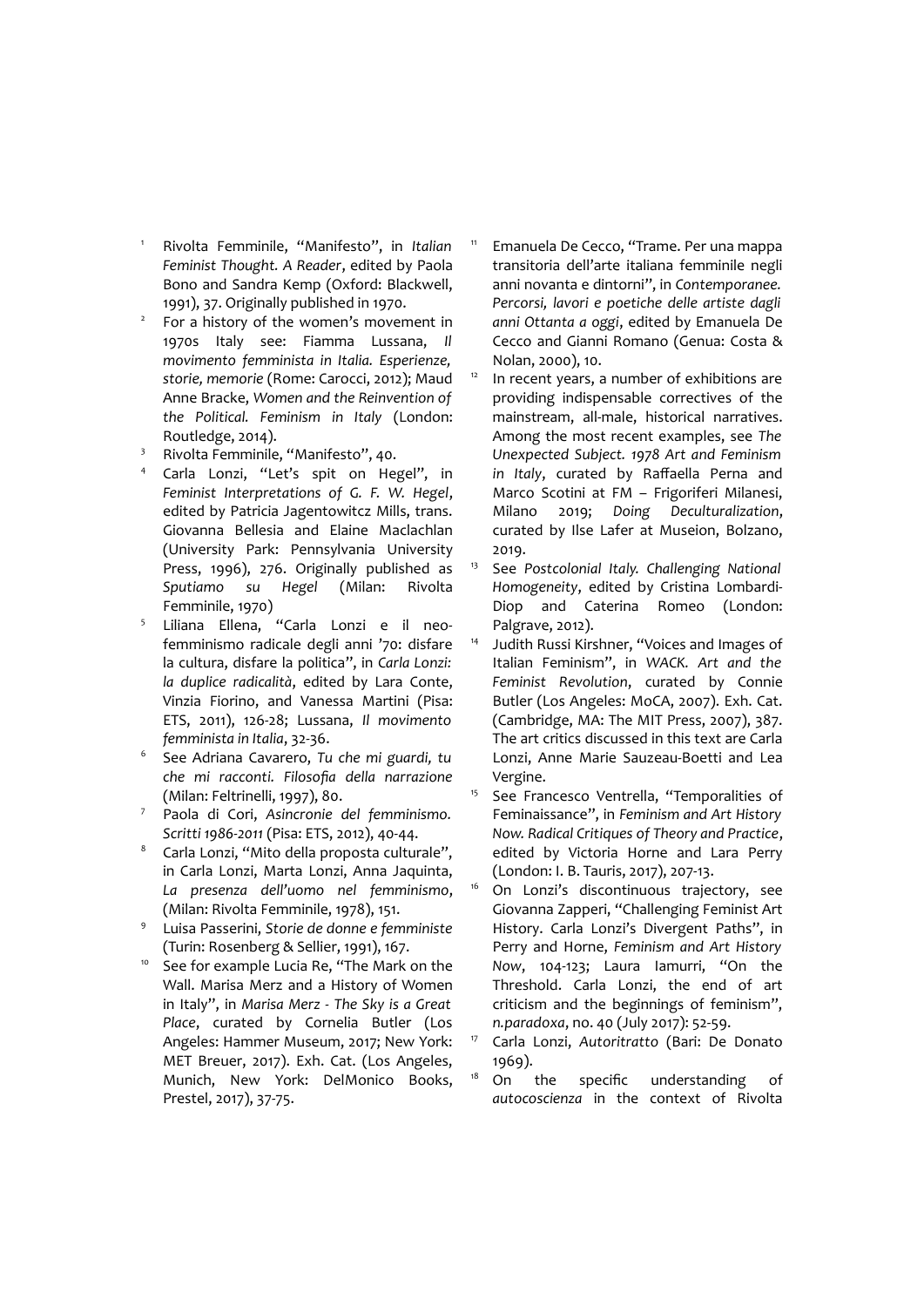- <sup>1</sup> Rivolta Femminile, "Manifesto", in *Italian Feminist Thought. A Reader*, edited by Paola Bono and Sandra Kemp (Oxford: Blackwell, 1991), 37. Originally published in 1970.
- 2 For a history of the women's movement in 1970s Italy see: Fiamma Lussana, *Il movimento femminista in Italia. Esperienze, storie, memorie* (Rome: Carocci, 2012); Maud Anne Bracke, *Women and the Reinvention of the Political. Feminism in Italy* (London: Routledge, 2014).
- <sup>3</sup> Rivolta Femminile, "Manifesto", 40.
- Carla Lonzi, "Let's spit on Hegel", in *Feminist Interpretations of G. F. W. Hegel*, edited by Patricia Jagentowitcz Mills, trans. Giovanna Bellesia and Elaine Maclachlan (University Park: Pennsylvania University Press, 1996), 276. Originally published as *Sputiamo su Hegel* (Milan: Rivolta Femminile, 1970)
- 5 Liliana Ellena, "Carla Lonzi e il neofemminismo radicale degli anni '70: disfare la cultura, disfare la politica", in *Carla Lonzi: la duplice radicalità*, edited by Lara Conte, Vinzia Fiorino, and Vanessa Martini (Pisa: ETS, 2011), 126-28; Lussana, *Il movimento femminista in Italia*, 32-36.
- 6 See Adriana Cavarero, *Tu che mi guardi, tu che mi racconti. Filosofia della narrazione* (Milan: Feltrinelli, 1997), 80.
- <sup>7</sup> Paola di Cori, *Asincronie del femminismo. Scritti 1986-2011* (Pisa: ETS, 2012), 40-44.
- Carla Lonzi, "Mito della proposta culturale", in Carla Lonzi, Marta Lonzi, Anna Jaquinta, *La presenza dell'uomo nel femminismo*, (Milan: Rivolta Femminile, 1978), 151.
- 9 Luisa Passerini, *Storie de donne e femministe* (Turin: Rosenberg & Sellier, 1991), 167.
- <sup>10</sup> See for example Lucia Re, "The Mark on the Wall. Marisa Merz and a History of Women in Italy", in *Marisa Merz - The Sky is a Great Place*, curated by Cornelia Butler (Los Angeles: Hammer Museum, 2017; New York: MET Breuer, 2017). Exh. Cat. (Los Angeles, Munich, New York: DelMonico Books, Prestel, 2017), 37-75.
- Emanuela De Cecco, "Trame. Per una mappa transitoria dell'arte italiana femminile negli anni novanta e dintorni", in *Contemporanee. Percorsi, lavori e poetiche delle artiste dagli anni Ottanta a oggi*, edited by Emanuela De Cecco and Gianni Romano (Genua: Costa & Nolan, 2000), 10.
- $12$  In recent years, a number of exhibitions are providing indispensable correctives of the mainstream, all-male, historical narratives. Among the most recent examples, see *The Unexpected Subject. 1978 Art and Feminism in Italy*, curated by Raffaella Perna and Marco Scotini at FM – Frigoriferi Milanesi, Milano 2019; *Doing Deculturalization*, curated by Ilse Lafer at Museion, Bolzano, 2019.
- <sup>13</sup> See *Postcolonial Italy. Challenging National Homogeneity*, edited by Cristina Lombardi-Diop and Caterina Romeo (London: Palgrave, 2012).
- <sup>14</sup> Judith Russi Kirshner, "Voices and Images of Italian Feminism", in *WACK. Art and the Feminist Revolution*, curated by Connie Butler (Los Angeles: MoCA, 2007). Exh. Cat. (Cambridge, MA: The MIT Press, 2007), 387. The art critics discussed in this text are Carla Lonzi, Anne Marie Sauzeau-Boetti and Lea Vergine.
- <sup>15</sup> See Francesco Ventrella, "Temporalities of Feminaissance", in *Feminism and Art History Now. Radical Critiques of Theory and Practice*, edited by Victoria Horne and Lara Perry (London: I. B. Tauris, 2017), 207-13.
- <sup>16</sup> On Lonzi's discontinuous trajectory, see Giovanna Zapperi, "Challenging Feminist Art History. Carla Lonzi's Divergent Paths", in Perry and Horne, *Feminism and Art History Now*, 104-123; Laura Iamurri, "On the Threshold. Carla Lonzi, the end of art criticism and the beginnings of feminism", *n.paradoxa*, no. 40 (July 2017): 52-59.
- <sup>17</sup> Carla Lonzi, *Autoritratto* (Bari: De Donato 1969).
- On the specific understanding of *autocoscienza* in the context of Rivolta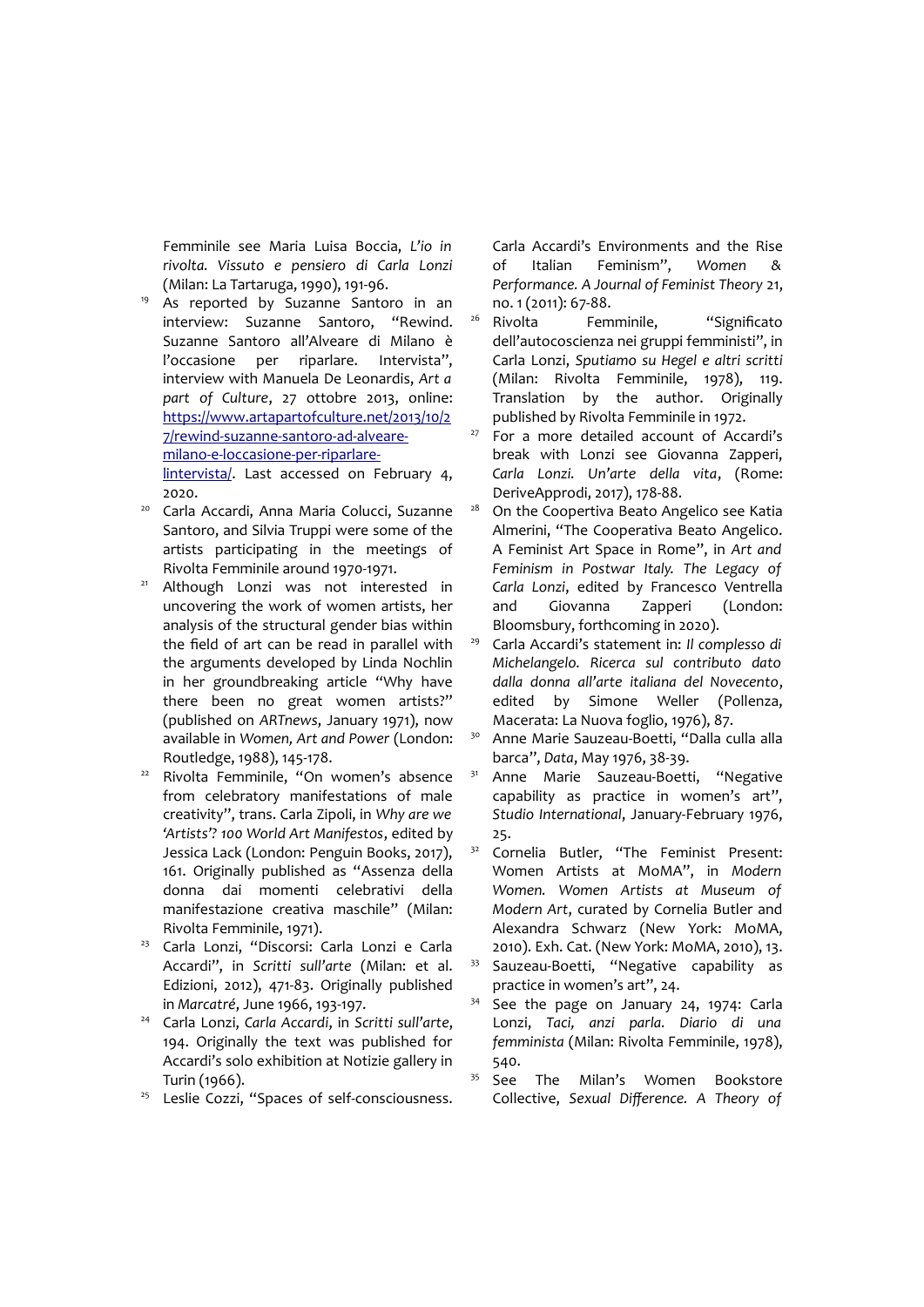Femminile see Maria Luisa Boccia, *L'io in rivolta. Vissuto e pensiero di Carla Lonzi* (Milan: La Tartaruga, 1990), 191-96.

- As reported by Suzanne Santoro in an interview: Suzanne Santoro, "Rewind. Suzanne Santoro all'Alveare di Milano è l'occasione per riparlare. Intervista", interview with Manuela De Leonardis, *Art a part of Culture*, 27 ottobre 2013, online: [https://www.artapartofculture.net/2013/10/2](https://www.artapartofculture.net/2013/10/27/rewind-suzanne-santoro-ad-alveare-milano-e-loccasione-per-riparlare-lintervista/) [7/rewind-suzanne-santoro-ad-alveare](https://www.artapartofculture.net/2013/10/27/rewind-suzanne-santoro-ad-alveare-milano-e-loccasione-per-riparlare-lintervista/)milano-e-loccasione-per-riparlare[lintervista/](https://www.artapartofculture.net/2013/10/27/rewind-suzanne-santoro-ad-alveare-milano-e-loccasione-per-riparlare-lintervista/). Last accessed on February 4, 2020.
- <sup>20</sup> Carla Accardi, Anna Maria Colucci, Suzanne Santoro, and Silvia Truppi were some of the artists participating in the meetings of Rivolta Femminile around 1970-1971.
- <sup>21</sup> Although Lonzi was not interested in uncovering the work of women artists, her analysis of the structural gender bias within the field of art can be read in parallel with the arguments developed by Linda Nochlin in her groundbreaking article "Why have there been no great women artists?" (published on *ARTnews*, January 1971), now available in *Women, Art and Power* (London: Routledge, 1988), 145-178.
- Rivolta Femminile, "On women's absence from celebratory manifestations of male creativity", trans. Carla Zipoli, in *Why are we 'Artists'? 100 World Art Manifestos*, edited by Jessica Lack (London: Penguin Books, 2017), 161. Originally published as "Assenza della donna dai momenti celebrativi della manifestazione creativa maschile" (Milan: Rivolta Femminile, 1971).
- <sup>23</sup> Carla Lonzi, "Discorsi: Carla Lonzi e Carla Accardi", in *Scritti sull'arte* (Milan: et al. Edizioni, 2012), 471-83. Originally published in *Marcatré*, June 1966, 193-197.
- <sup>24</sup> Carla Lonzi, *Carla Accardi*, in *Scritti sull'arte*, 194. Originally the text was published for Accardi's solo exhibition at Notizie gallery in Turin (1966).
- <sup>25</sup> Leslie Cozzi, "Spaces of self-consciousness.

Carla Accardi's Environments and the Rise of Italian Feminism", *Women & Performance. A Journal of Feminist Theory* 21, no. 1 (2011): 67-88.

- <sup>26</sup> Rivolta Femminile, "Significato dell'autocoscienza nei gruppi femministi", in Carla Lonzi, *Sputiamo su Hegel e altri scritti* (Milan: Rivolta Femminile, 1978), 119. Translation by the author. Originally published by Rivolta Femminile in 1972.
- <sup>27</sup> For a more detailed account of Accardi's break with Lonzi see Giovanna Zapperi, *Carla Lonzi. Un'arte della vita*, (Rome: DeriveApprodi, 2017), 178-88.
- <sup>28</sup> On the Coopertiva Beato Angelico see Katia Almerini, "The Cooperativa Beato Angelico. A Feminist Art Space in Rome", in *Art and Feminism in Postwar Italy. The Legacy of Carla Lonzi*, edited by Francesco Ventrella and Giovanna Zapperi (London: Bloomsbury, forthcoming in 2020).
- <sup>29</sup> Carla Accardi's statement in: *Il complesso di Michelangelo. Ricerca sul contributo dato dalla donna all'arte italiana del Novecento*, edited by Simone Weller (Pollenza, Macerata: La Nuova foglio, 1976), 87.
- <sup>30</sup> Anne Marie Sauzeau-Boetti, "Dalla culla alla barca", *Data*, May 1976, 38-39.
- <sup>31</sup> Anne Marie Sauzeau-Boetti, "Negative capability as practice in women's art", *Studio International*, January-February 1976, 25.
- <sup>32</sup> Cornelia Butler, "The Feminist Present: Women Artists at MoMA", in *Modern Women. Women Artists at Museum of Modern Art*, curated by Cornelia Butler and Alexandra Schwarz (New York: MoMA, 2010). Exh. Cat. (New York: MoMA, 2010), 13.
- <sup>33</sup> Sauzeau-Boetti, "Negative capability as practice in women's art", 24.
- See the page on January 24, 1974: Carla Lonzi, *Taci, anzi parla. Diario di una femminista* (Milan: Rivolta Femminile, 1978), 540.
- <sup>35</sup> See The Milan's Women Bookstore Collective, *Sexual Difference. A Theory of*